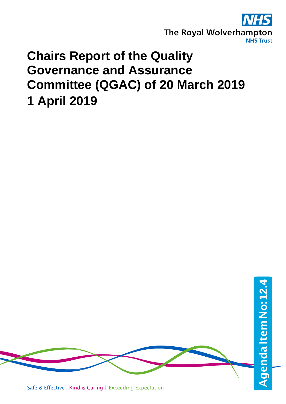

## **Chairs Report of the Quality Governance and Assurance Committee (QGAC) of 20 March 2019 1 April 2019**

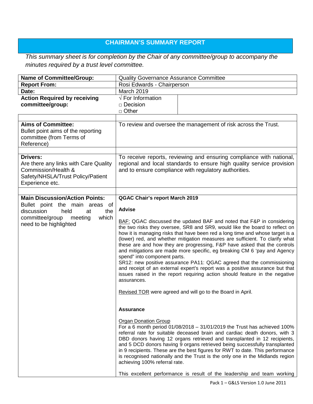## **CHAIRMAN'S SUMMARY REPORT**

## *This summary sheet is for completion by the Chair of any committee/group to accompany the minutes required by a trust level committee.*

| <b>Name of Committee/Group:</b>                                                                                                         | <b>Quality Governance Assurance Committee</b>                                                                                                                                                                                                                                                                                                                                                                                                                                                                                                                                                                                                                                                                                                                                                                                                                                                |
|-----------------------------------------------------------------------------------------------------------------------------------------|----------------------------------------------------------------------------------------------------------------------------------------------------------------------------------------------------------------------------------------------------------------------------------------------------------------------------------------------------------------------------------------------------------------------------------------------------------------------------------------------------------------------------------------------------------------------------------------------------------------------------------------------------------------------------------------------------------------------------------------------------------------------------------------------------------------------------------------------------------------------------------------------|
| <b>Report From:</b>                                                                                                                     | Rosi Edwards - Chairperson                                                                                                                                                                                                                                                                                                                                                                                                                                                                                                                                                                                                                                                                                                                                                                                                                                                                   |
| Date:                                                                                                                                   | March 2019                                                                                                                                                                                                                                                                                                                                                                                                                                                                                                                                                                                                                                                                                                                                                                                                                                                                                   |
| <b>Action Required by receiving</b><br>committee/group:                                                                                 | $\sqrt{}$ For Information<br>$\Box$ Decision<br>$\Box$ Other                                                                                                                                                                                                                                                                                                                                                                                                                                                                                                                                                                                                                                                                                                                                                                                                                                 |
|                                                                                                                                         |                                                                                                                                                                                                                                                                                                                                                                                                                                                                                                                                                                                                                                                                                                                                                                                                                                                                                              |
| <b>Aims of Committee:</b><br>Bullet point aims of the reporting<br>committee (from Terms of<br>Reference)                               | To review and oversee the management of risk across the Trust.                                                                                                                                                                                                                                                                                                                                                                                                                                                                                                                                                                                                                                                                                                                                                                                                                               |
| <b>Drivers:</b><br>Are there any links with Care Quality<br>Commission/Health &<br>Safety/NHSLA/Trust Policy/Patient<br>Experience etc. | To receive reports, reviewing and ensuring compliance with national,<br>regional and local standards to ensure high quality service provision<br>and to ensure compliance with regulatory authorities.                                                                                                                                                                                                                                                                                                                                                                                                                                                                                                                                                                                                                                                                                       |
| <b>Main Discussion/Action Points:</b>                                                                                                   |                                                                                                                                                                                                                                                                                                                                                                                                                                                                                                                                                                                                                                                                                                                                                                                                                                                                                              |
| Bullet point the main areas of<br>discussion<br>held<br>at<br>the<br>which<br>committee/group<br>meeting<br>need to be highlighted      | <b>QGAC Chair's report March 2019</b><br><b>Advise</b><br>BAF: QGAC discussed the updated BAF and noted that F&P in considering<br>the two risks they oversee, SR8 and SR9, would like the board to reflect on<br>how it is managing risks that have been red a long time and whose target is a<br>(lower) red, and whether mitigation measures are sufficient. To clarify what<br>these are and how they are progressing, F&P have asked that the controls<br>and mitigations are made more specific, eg breaking CM 6 'pay and Agency<br>spend" into component parts.<br>SR12: new positive assurance PA11: QGAC agreed that the commissioning<br>and receipt of an external expert's report was a positive assurance but that<br>issues raised in the report requiring action should feature in the negative<br>assurances.<br>Revised TOR were agreed and will go to the Board in April. |
|                                                                                                                                         | <b>Assurance</b><br><b>Organ Donation Group</b><br>For a 6 month period 01/08/2018 - 31/01/2019 the Trust has achieved 100%<br>referral rate for suitable deceased brain and cardiac death donors, with 3<br>DBD donors having 12 organs retrieved and transplanted in 12 recipients,<br>and 5 DCD donors having 9 organs retrieved being successfully transplanted<br>in 9 recipients. These are the best figures for RWT to date. This performance<br>is recognised nationally and the Trust is the only one in the Midlands region<br>achieving 100% referral rate.                                                                                                                                                                                                                                                                                                                       |
|                                                                                                                                         | This excellent performance is result of the leadership and team working                                                                                                                                                                                                                                                                                                                                                                                                                                                                                                                                                                                                                                                                                                                                                                                                                      |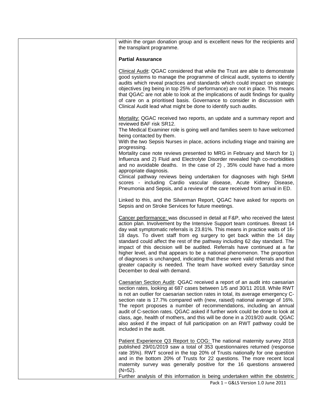| within the organ donation group and is excellent news for the recipients and<br>the transplant programme.                                                                                                                                                                                                                                                                                                                                                                                                                                                                                                                                                                                                                                                     |
|---------------------------------------------------------------------------------------------------------------------------------------------------------------------------------------------------------------------------------------------------------------------------------------------------------------------------------------------------------------------------------------------------------------------------------------------------------------------------------------------------------------------------------------------------------------------------------------------------------------------------------------------------------------------------------------------------------------------------------------------------------------|
| <b>Partial Assurance</b>                                                                                                                                                                                                                                                                                                                                                                                                                                                                                                                                                                                                                                                                                                                                      |
| Clinical Audit: QGAC considered that while the Trust are able to demonstrate<br>good systems to manage the programme of clinical audit, systems to identify<br>audits which reveal practices and standards which could impact on strategic<br>objectives (eg being in top 25% of performance) are not in place. This means<br>that QGAC are not able to look at the implications of audit findings for quality<br>of care on a prioritised basis. Governance to consider in discussion with<br>Clinical Audit lead what might be done to identify such audits.                                                                                                                                                                                                |
| Mortality: QGAC received two reports, an update and a summary report and<br>reviewed BAF risk SR12.<br>The Medical Examiner role is going well and families seem to have welcomed<br>being contacted by them.<br>With the two Sepsis Nurses in place, actions including triage and training are                                                                                                                                                                                                                                                                                                                                                                                                                                                               |
| progressing.<br>Mortality case note reviews presented to MRG in February and March for 1)<br>Influenza and 2) Fluid and Electrolyte Disorder revealed high co-morbidities<br>and no avoidable deaths. In the case of 2), 35% could have had a more<br>appropriate diagnosis.                                                                                                                                                                                                                                                                                                                                                                                                                                                                                  |
| Clinical pathway reviews being undertaken for diagnoses with high SHMI<br>scores - including Cardio vascular disease, Acute Kidney Disease,<br>Pneumonia and Sepsis, and a review of the care received from arrival in ED.                                                                                                                                                                                                                                                                                                                                                                                                                                                                                                                                    |
| Linked to this, and the Silverman Report, QGAC have asked for reports on<br>Sepsis and on Stroke Services for future meetings.                                                                                                                                                                                                                                                                                                                                                                                                                                                                                                                                                                                                                                |
| Cancer performance: was discussed in detail at F&P, who received the latest<br>action plan. Involvement by the Intensive Support team continues. Breast 14<br>day wait symptomatic referrals is 23.81%. This means in practice waits of 16-<br>18 days. To divert staff from eg surgery to get back within the 14 day<br>standard could affect the rest of the pathway including 62 day standard. The<br>impact of this decision will be audited. Referrals have continued at a far<br>higher level, and that appears to be a national phenomenon. The proportion<br>of diagnoses is unchanged, indicating that these were valid referrals and that<br>greater capacity is needed. The team have worked every Saturday since<br>December to deal with demand. |
| Caesarian Section Audit: QGAC received a report of an audit into caesarian<br>section rates, looking at 687 cases between 1/5 and 30/11 2018. While RWT<br>is not an outlier for caesarian section rates in total, its average emergency C-<br>section rate is 17.7% compared with (new, raised) national average of 16%.<br>The report proposes a number of recommendations, including an annual<br>audit of C-section rates. QGAC asked if further work could be done to look at<br>class, age, health of mothers, and this will be done in a 2019/20 audit. QGAC<br>also asked if the impact of full participation on an RWT pathway could be<br>included in the audit.                                                                                    |
| Patient Experience Q3 Report to COG: The national maternity survey 2018<br>published 29/01/2019 saw a total of 353 questionnaires returned (response<br>rate 35%). RWT scored in the top 20% of Trusts nationally for one question<br>and in the bottom 20% of Trusts for 22 questions. The more recent local<br>maternity survey was generally positive for the 16 questions answered<br>$(N=52)$ .<br>Further analysis of this information is being undertaken within the obstetric                                                                                                                                                                                                                                                                         |